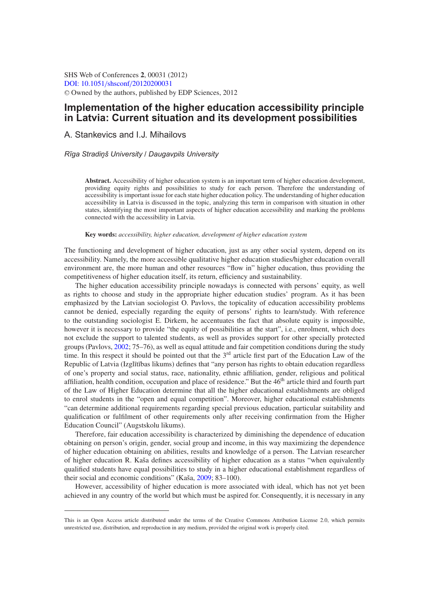SHS Web of Conferences **2**, 00031 (2012) [DOI: 10.1051](http://dx.doi.org/10.1051/shsconf/20120200031)/shsconf/20120200031 <sup>C</sup> Owned by the authors, published by EDP Sciences, 2012

# **Implementation of the higher education accessibility principle in Latvia: Current situation and its development possibilities**

A. Stankevics and I.J. Mihailovs

#### *R¯ıga Stradin¸ š University / Daugavpils University*

**Abstract.** Accessibility of higher education system is an important term of higher education development, providing equity rights and possibilities to study for each person. Therefore the understanding of accessibility is important issue for each state higher education policy. The understanding of higher education accessibility in Latvia is discussed in the topic, analyzing this term in comparison with situation in other states, identifying the most important aspects of higher education accessibility and marking the problems connected with the accessibility in Latvia.

#### **Key words:** *accessibility, higher education, development of higher education system*

The functioning and development of higher education, just as any other social system, depend on its accessibility. Namely, the more accessible qualitative higher education studies/higher education overall environment are, the more human and other resources "flow in" higher education, thus providing the competitiveness of higher education itself, its return, efficiency and sustainability.

The higher education accessibility principle nowadays is connected with persons' equity, as well as rights to choose and study in the appropriate higher education studies' program. As it has been emphasized by the Latvian sociologist O. Pavlovs, the topicality of education accessibility problems cannot be denied, especially regarding the equity of persons' rights to learn/study. With reference to the outstanding sociologist E. Dirkem, he accentuates the fact that absolute equity is impossible, however it is necessary to provide "the equity of possibilities at the start", i.e., enrolment, which does not exclude the support to talented students, as well as provides support for other specially protected groups (Pavlovs, [2002;](#page-4-0) 75–76), as well as equal attitude and fair competition conditions during the study time. In this respect it should be pointed out that the  $3<sup>rd</sup>$  article first part of the Education Law of the Republic of Latvia (Izglītības likums) defines that "any person has rights to obtain education regardless of one's property and social status, race, nationality, ethnic affiliation, gender, religious and political affiliation, health condition, occupation and place of residence." But the  $46<sup>th</sup>$  article third and fourth part of the Law of Higher Education determine that all the higher educational establishments are obliged to enrol students in the "open and equal competition". Moreover, higher educational establishments "can determine additional requirements regarding special previous education, particular suitability and qualification or fulfilment of other requirements only after receiving confirmation from the Higher Education Council" (Augstskolu likums).

Therefore, fair education accessibility is characterized by diminishing the dependence of education obtaining on person's origin, gender, social group and income, in this way maximizing the dependence of higher education obtaining on abilities, results and knowledge of a person. The Latvian researcher of higher education R. Kaša defines accessibility of higher education as a status "when equivalently qualified students have equal possibilities to study in a higher educational establishment regardless of their social and economic conditions" (Kaša, [2009;](#page-4-1) 83–100).

However, accessibility of higher education is more associated with ideal, which has not yet been achieved in any country of the world but which must be aspired for. Consequently, it is necessary in any

This is an Open Access article distributed under the terms of the Creative Commons Attribution License 2.0, which permits unrestricted use, distribution, and reproduction in any medium, provided the original work is properly cited.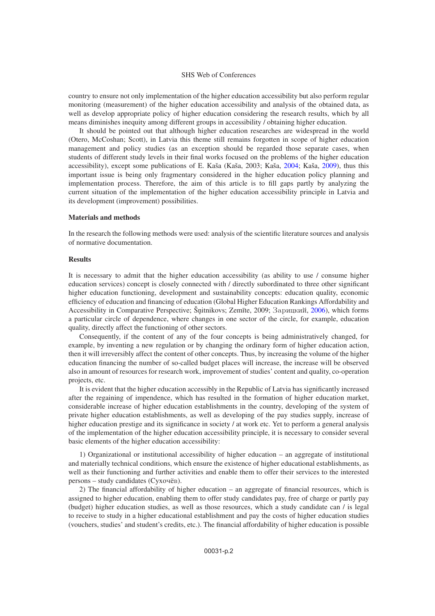#### SHS Web of Conferences

country to ensure not only implementation of the higher education accessibility but also perform regular monitoring (measurement) of the higher education accessibility and analysis of the obtained data, as well as develop appropriate policy of higher education considering the research results, which by all means diminishes inequity among different groups in accessibility / obtaining higher education.

It should be pointed out that although higher education researches are widespread in the world (Otero, McCoshan; Scott), in Latvia this theme still remains forgotten in scope of higher education management and policy studies (as an exception should be regarded those separate cases, when students of different study levels in their final works focused on the problems of the higher education accessibility), except some publications of E. Kaša (Kaša, 2003; Kaša, [2004;](#page-4-2) Kaša, [2009\)](#page-4-1), thus this important issue is being only fragmentary considered in the higher education policy planning and implementation process. Therefore, the aim of this article is to fill gaps partly by analyzing the current situation of the implementation of the higher education accessibility principle in Latvia and its development (improvement) possibilities.

#### **Materials and methods**

In the research the following methods were used: analysis of the scientific literature sources and analysis of normative documentation.

## **Results**

It is necessary to admit that the higher education accessibility (as ability to use / consume higher education services) concept is closely connected with / directly subordinated to three other significant higher education functioning, development and sustainability concepts: education quality, economic efficiency of education and financing of education (Global Higher Education Rankings Affordability and Accessibility in Comparative Perspective; Šnitnikovs; Zemīte, 2009; Зарицкий, [2006\)](#page-4-3), which forms a particular circle of dependence, where changes in one sector of the circle, for example, education quality, directly affect the functioning of other sectors.

Consequently, if the content of any of the four concepts is being administratively changed, for example, by inventing a new regulation or by changing the ordinary form of higher education action, then it will irreversibly affect the content of other concepts. Thus, by increasing the volume of the higher education financing the number of so-called budget places will increase, the increase will be observed also in amount of resources for research work, improvement of studies' content and quality, co-operation projects, etc.

It is evident that the higher education accessibly in the Republic of Latvia has significantly increased after the regaining of impendence, which has resulted in the formation of higher education market, considerable increase of higher education establishments in the country, developing of the system of private higher education establishments, as well as developing of the pay studies supply, increase of higher education prestige and its significance in society / at work etc. Yet to perform a general analysis of the implementation of the higher education accessibility principle, it is necessary to consider several basic elements of the higher education accessibility:

1) Organizational or institutional accessibility of higher education – an aggregate of institutional and materially technical conditions, which ensure the existence of higher educational establishments, as well as their functioning and further activities and enable them to offer their services to the interested persons – study candidates (Cyxoqën).

2) The financial affordability of higher education – an aggregate of financial resources, which is assigned to higher education, enabling them to offer study candidates pay, free of charge or partly pay (budget) higher education studies, as well as those resources, which a study candidate can / is legal to receive to study in a higher educational establishment and pay the costs of higher education studies (vouchers, studies' and student's credits, etc.). The financial affordability of higher education is possible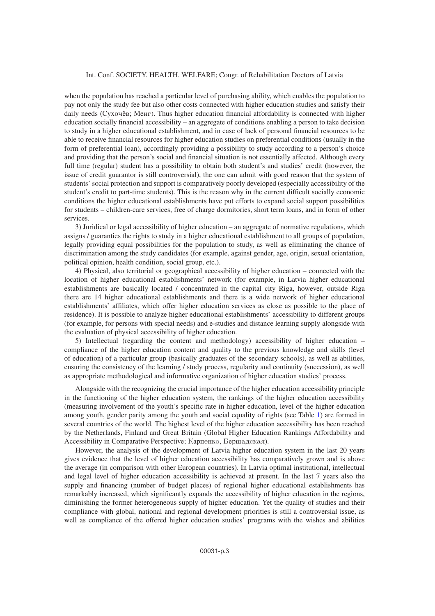#### Int. Conf. SOCIETY. HEALTH. WELFARE; Congr. of Rehabilitation Doctors of Latvia

when the population has reached a particular level of purchasing ability, which enables the population to pay not only the study fee but also other costs connected with higher education studies and satisfy their daily needs (Cyxoqës; MeHr). Thus higher education financial affordability is connected with higher education socially financial accessibility – an aggregate of conditions enabling a person to take decision to study in a higher educational establishment, and in case of lack of personal financial resources to be able to receive financial resources for higher education studies on preferential conditions (usually in the form of preferential loan), accordingly providing a possibility to study according to a person's choice and providing that the person's social and financial situation is not essentially affected. Although every full time (regular) student has a possibility to obtain both student's and studies' credit (however, the issue of credit guarantor is still controversial), the one can admit with good reason that the system of students' social protection and support is comparatively poorly developed (especially accessibility of the student's credit to part-time students). This is the reason why in the current difficult socially economic conditions the higher educational establishments have put efforts to expand social support possibilities for students – children-care services, free of charge dormitories, short term loans, and in form of other services.

3) Juridical or legal accessibility of higher education – an aggregate of normative regulations, which assigns / guaranties the rights to study in a higher educational establishment to all groups of population, legally providing equal possibilities for the population to study, as well as eliminating the chance of discrimination among the study candidates (for example, against gender, age, origin, sexual orientation, political opinion, health condition, social group, etc.).

4) Physical, also territorial or geographical accessibility of higher education – connected with the location of higher educational establishments' network (for example, in Latvia higher educational establishments are basically located / concentrated in the capital city Riga, however, outside Riga there are 14 higher educational establishments and there is a wide network of higher educational establishments' affiliates, which offer higher education services as close as possible to the place of residence). It is possible to analyze higher educational establishments' accessibility to different groups (for example, for persons with special needs) and e-studies and distance learning supply alongside with the evaluation of physical accessibility of higher education.

5) Intellectual (regarding the content and methodology) accessibility of higher education – compliance of the higher education content and quality to the previous knowledge and skills (level of education) of a particular group (basically graduates of the secondary schools), as well as abilities, ensuring the consistency of the learning / study process, regularity and continuity (succession), as well as appropriate methodological and informative organization of higher education studies' process.

Alongside with the recognizing the crucial importance of the higher education accessibility principle in the functioning of the higher education system, the rankings of the higher education accessibility (measuring involvement of the youth's specific rate in higher education, level of the higher education among youth, gender parity among the youth and social equality of rights (see Table [1\)](#page-3-0) are formed in several countries of the world. The highest level of the higher education accessibility has been reached by the Netherlands, Finland and Great Britain (Global Higher Education Rankings Affordability and Accessibility in Comparative Perspective; Карпенко, Бершадская).

However, the analysis of the development of Latvia higher education system in the last 20 years gives evidence that the level of higher education accessibility has comparatively grown and is above the average (in comparison with other European countries). In Latvia optimal institutional, intellectual and legal level of higher education accessibility is achieved at present. In the last 7 years also the supply and financing (number of budget places) of regional higher educational establishments has remarkably increased, which significantly expands the accessibility of higher education in the regions, diminishing the former heterogeneous supply of higher education. Yet the quality of studies and their compliance with global, national and regional development priorities is still a controversial issue, as well as compliance of the offered higher education studies' programs with the wishes and abilities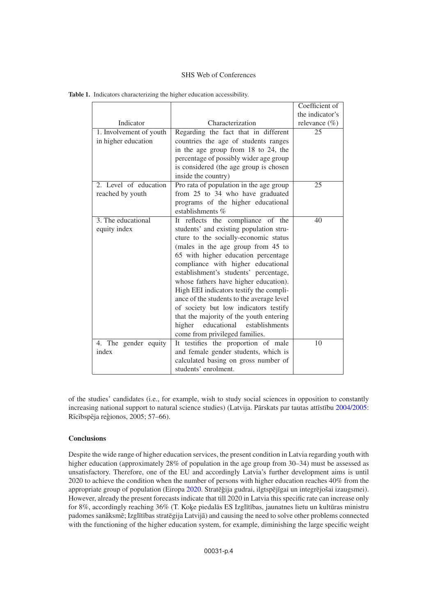# SHS Web of Conferences

<span id="page-3-0"></span>

|  |  | <b>Table 1.</b> Indicators characterizing the higher education accessibility. |  |  |  |  |
|--|--|-------------------------------------------------------------------------------|--|--|--|--|
|--|--|-------------------------------------------------------------------------------|--|--|--|--|

|                                                         |                                           | Coefficient of  |  |
|---------------------------------------------------------|-------------------------------------------|-----------------|--|
|                                                         |                                           | the indicator's |  |
| Indicator                                               | Characterization                          | relevance (%)   |  |
| 1. Involvement of youth                                 | Regarding the fact that in different      | 25              |  |
| in higher education                                     | countries the age of students ranges      |                 |  |
|                                                         | in the age group from 18 to 24, the       |                 |  |
|                                                         | percentage of possibly wider age group    |                 |  |
|                                                         | is considered (the age group is chosen    |                 |  |
|                                                         | inside the country)                       |                 |  |
| 2. Level of education                                   | Pro rata of population in the age group   | 25              |  |
| reached by youth                                        | from 25 to 34 who have graduated          |                 |  |
|                                                         | programs of the higher educational        |                 |  |
|                                                         | establishments %                          |                 |  |
| 3. The educational<br>It reflects the compliance of the |                                           | 40              |  |
| equity index                                            | students' and existing population stru-   |                 |  |
|                                                         | cture to the socially-economic status     |                 |  |
|                                                         | (males in the age group from 45 to        |                 |  |
|                                                         | 65 with higher education percentage       |                 |  |
|                                                         | compliance with higher educational        |                 |  |
|                                                         | establishment's students' percentage,     |                 |  |
|                                                         | whose fathers have higher education).     |                 |  |
|                                                         | High EEI indicators testify the compli-   |                 |  |
|                                                         | ance of the students to the average level |                 |  |
|                                                         | of society but low indicators testify     |                 |  |
|                                                         | that the majority of the youth entering   |                 |  |
|                                                         | educational<br>higher<br>establishments   |                 |  |
|                                                         | come from privileged families.            |                 |  |
| 4. The gender equity                                    | It testifies the proportion of male       | 10              |  |
| index                                                   | and female gender students, which is      |                 |  |
|                                                         | calculated basing on gross number of      |                 |  |
|                                                         | students' enrolment.                      |                 |  |

of the studies' candidates (i.e., for example, wish to study social sciences in opposition to constantly increasing national support to natural science studies) (Latvija. Pārskats par tautas attīstību 2004/2005: Rīcībspēja reģionos, 2005; 57-66).

# **Conclusions**

Despite the wide range of higher education services, the present condition in Latvia regarding youth with higher education (approximately 28% of population in the age group from 30–34) must be assessed as unsatisfactory. Therefore, one of the EU and accordingly Latvia's further development aims is until 2020 to achieve the condition when the number of persons with higher education reaches 40% from the appropriate group of population (Eiropa 2020. Stratēģija gudrai, ilgtspējīgai un integrējošai izaugsmei). However, already the present forecasts indicate that till 2020 in Latvia this specific rate can increase only for 8%, accordingly reaching 36% (T. Koke piedalās ES Izglītības, jaunatnes lietu un kultūras ministru padomes sanāksmē; Izglītības stratēgija Latvijā) and causing the need to solve other problems connected with the functioning of the higher education system, for example, diminishing the large specific weight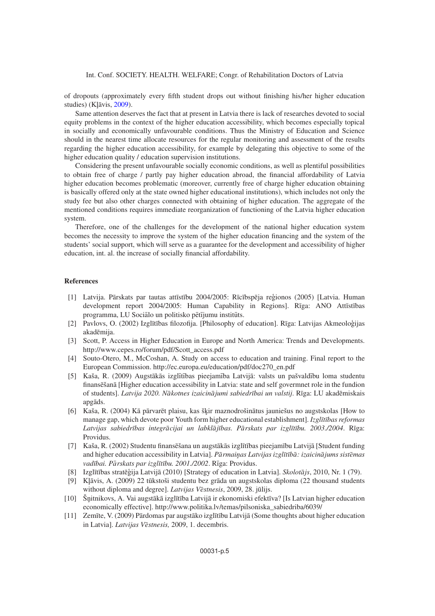Int. Conf. SOCIETY. HEALTH. WELFARE; Congr. of Rehabilitation Doctors of Latvia

of dropouts (approximately every fifth student drops out without finishing his/her higher education studies) (Kļāvis,  $2009$ ).

Same attention deserves the fact that at present in Latvia there is lack of researches devoted to social equity problems in the context of the higher education accessibility, which becomes especially topical in socially and economically unfavourable conditions. Thus the Ministry of Education and Science should in the nearest time allocate resources for the regular monitoring and assessment of the results regarding the higher education accessibility, for example by delegating this objective to some of the higher education quality / education supervision institutions.

Considering the present unfavourable socially economic conditions, as well as plentiful possibilities to obtain free of charge / partly pay higher education abroad, the financial affordability of Latvia higher education becomes problematic (moreover, currently free of charge higher education obtaining is basically offered only at the state owned higher educational institutions), which includes not only the study fee but also other charges connected with obtaining of higher education. The aggregate of the mentioned conditions requires immediate reorganization of functioning of the Latvia higher education system.

Therefore, one of the challenges for the development of the national higher education system becomes the necessity to improve the system of the higher education financing and the system of the students' social support, which will serve as a guarantee for the development and accessibility of higher education, int. al. the increase of socially financial affordability.

### **References**

- [1] Latvija. Pārskats par tautas attīstību 2004/2005: Rīcībspēja reģionos (2005) [Latvia. Human development report 2004/2005: Human Capability in Regions]. Rīga: ANO Attīstības programma, LU Sociālo un politisko pētījumu institūts.
- <span id="page-4-0"></span>[2] Pavlovs, O. (2002) Izglītības filozofija. [Philosophy of education]. Rīga: Latvijas Akmeoloģijas akadēmija.
- [3] Scott, P. Access in Higher Education in Europe and North America: Trends and Developments. http://www.cepes.ro/forum/pdf/Scott\_access.pdf
- [4] Souto-Otero, M., McCoshan, A. Study on access to education and training. Final report to the European Commission. http://ec.europa.eu/education/pdf/doc270\_en.pdf
- <span id="page-4-1"></span>[5] Kaša, R. (2009) Augstākās izglītības pieejamība Latvijā: valsts un pašvaldību loma studentu finansēšanā [Higher education accessibility in Latvia: state and self governmet role in the fundion of students]. *Latvija 2020. Nākotnes izaicinājumi sabiedrībai un valstij.* Rīga: LU akadēmiskais apgads. ¯
- <span id="page-4-2"></span>[6] Kaša, R. (2004) Kā pārvarēt plaisu, kas šķir maznodrošinātus jauniešus no augstskolas [How to manage gap, which devote poor Youth form higher educational establishment]. *Izglītības reformas* Latvijas sabiedrības integrācijai un labklājības. Pārskats par izglītību. 2003./2004. Rīga: Providus.
- [7] Kaša, R. (2002) Studentu finansēšana un augstākās izglītības pieejamību Latvijā [Student funding and higher education accessibility in Latvia]. *Pārmaiņas Latvijas izglītībā: izaicinājums sistēmas* vadībai. Pārskats par izglītību. 2001./2002. Rīga: Providus.
- [8] Izgl¯ıt¯ıbas strate¯gija Latvij ' a (2010) [Strategy of education in Latvia]. ¯ *Skolot*a¯*js*, 2010, Nr. 1 (79).
- [9] Kļāvis, A. (2009) 22 tūkstoši studentu bez grāda un augstskolas diploma (22 thousand students without diploma and degree]. *Latvijas Vēstnesis*, 2009, 28. jūlijs.
- <span id="page-4-4"></span>[10] Šnitnikovs, A. Vai augstākā izglītība Latvijā ir ekonomiski efektīva? [Is Latvian higher education economically effective]. http://www.politika.lv/temas/pilsoniska\_sabiedriba/6039/
- <span id="page-4-3"></span>[11] Zemīte, V. (2009) Pārdomas par augstāko izglītību Latvijā (Some thoughts about higher education in Latvia]. *Latvijas Vēstnesis*, 2009, 1. decembris.